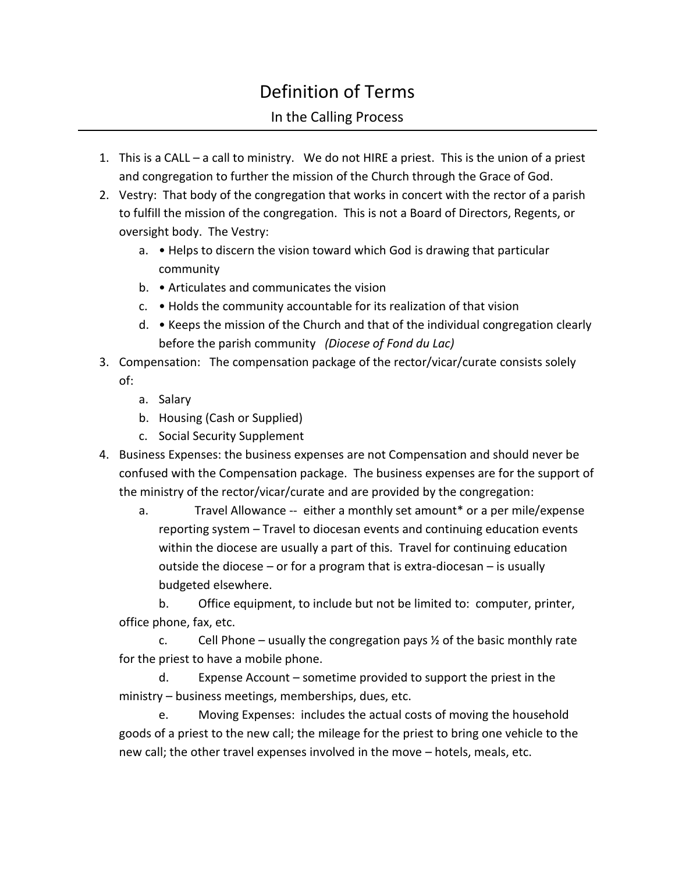## Definition of Terms

## In the Calling Process

- 1. This is a CALL a call to ministry. We do not HIRE a priest. This is the union of a priest and congregation to further the mission of the Church through the Grace of God.
- 2. Vestry: That body of the congregation that works in concert with the rector of a parish to fulfill the mission of the congregation. This is not a Board of Directors, Regents, or oversight body. The Vestry:
	- a. Helps to discern the vision toward which God is drawing that particular community
	- b. Articulates and communicates the vision
	- c. Holds the community accountable for its realization of that vision
	- d. Keeps the mission of the Church and that of the individual congregation clearly before the parish community *(Diocese of Fond du Lac)*
- 3. Compensation: The compensation package of the rector/vicar/curate consists solely of:
	- a. Salary
	- b. Housing (Cash or Supplied)
	- c. Social Security Supplement
- 4. Business Expenses: the business expenses are not Compensation and should never be confused with the Compensation package. The business expenses are for the support of the ministry of the rector/vicar/curate and are provided by the congregation:
	- a. Travel Allowance -- either a monthly set amount\* or a per mile/expense reporting system – Travel to diocesan events and continuing education events within the diocese are usually a part of this. Travel for continuing education outside the diocese – or for a program that is extra-diocesan – is usually budgeted elsewhere.

b. Office equipment, to include but not be limited to: computer, printer, office phone, fax, etc.

c. Cell Phone – usually the congregation pays  $\frac{1}{2}$  of the basic monthly rate for the priest to have a mobile phone.

d. Expense Account – sometime provided to support the priest in the ministry – business meetings, memberships, dues, etc.

e. Moving Expenses: includes the actual costs of moving the household goods of a priest to the new call; the mileage for the priest to bring one vehicle to the new call; the other travel expenses involved in the move – hotels, meals, etc.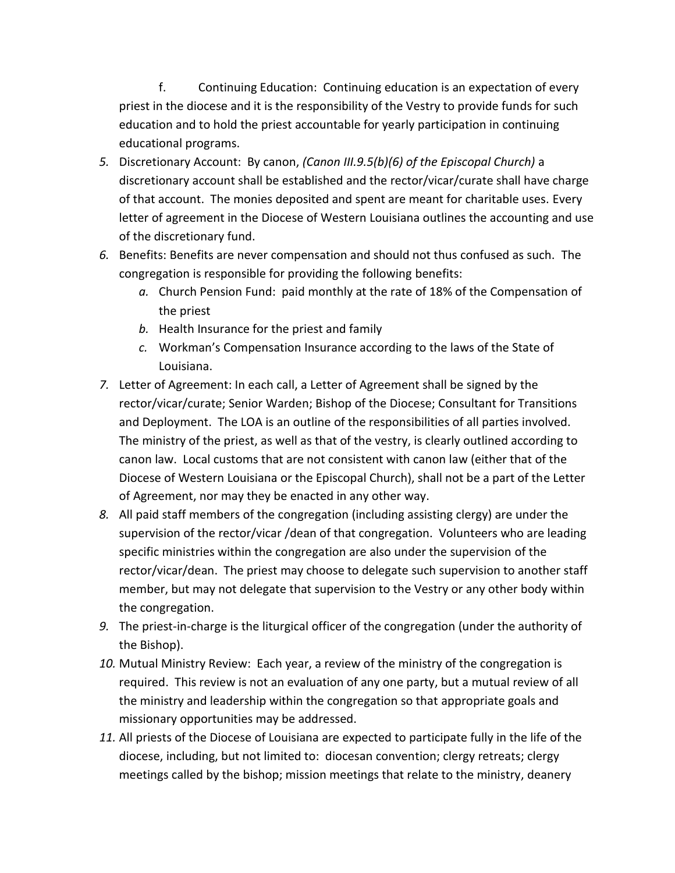f. Continuing Education: Continuing education is an expectation of every priest in the diocese and it is the responsibility of the Vestry to provide funds for such education and to hold the priest accountable for yearly participation in continuing educational programs.

- *5.* Discretionary Account: By canon, *(Canon III.9.5(b)(6) of the Episcopal Church)* a discretionary account shall be established and the rector/vicar/curate shall have charge of that account. The monies deposited and spent are meant for charitable uses. Every letter of agreement in the Diocese of Western Louisiana outlines the accounting and use of the discretionary fund.
- *6.* Benefits: Benefits are never compensation and should not thus confused as such. The congregation is responsible for providing the following benefits:
	- *a.* Church Pension Fund: paid monthly at the rate of 18% of the Compensation of the priest
	- *b.* Health Insurance for the priest and family
	- *c.* Workman's Compensation Insurance according to the laws of the State of Louisiana.
- *7.* Letter of Agreement: In each call, a Letter of Agreement shall be signed by the rector/vicar/curate; Senior Warden; Bishop of the Diocese; Consultant for Transitions and Deployment. The LOA is an outline of the responsibilities of all parties involved. The ministry of the priest, as well as that of the vestry, is clearly outlined according to canon law. Local customs that are not consistent with canon law (either that of the Diocese of Western Louisiana or the Episcopal Church), shall not be a part of the Letter of Agreement, nor may they be enacted in any other way.
- *8.* All paid staff members of the congregation (including assisting clergy) are under the supervision of the rector/vicar /dean of that congregation. Volunteers who are leading specific ministries within the congregation are also under the supervision of the rector/vicar/dean. The priest may choose to delegate such supervision to another staff member, but may not delegate that supervision to the Vestry or any other body within the congregation.
- *9.* The priest-in-charge is the liturgical officer of the congregation (under the authority of the Bishop).
- *10.* Mutual Ministry Review: Each year, a review of the ministry of the congregation is required. This review is not an evaluation of any one party, but a mutual review of all the ministry and leadership within the congregation so that appropriate goals and missionary opportunities may be addressed.
- *11.* All priests of the Diocese of Louisiana are expected to participate fully in the life of the diocese, including, but not limited to: diocesan convention; clergy retreats; clergy meetings called by the bishop; mission meetings that relate to the ministry, deanery